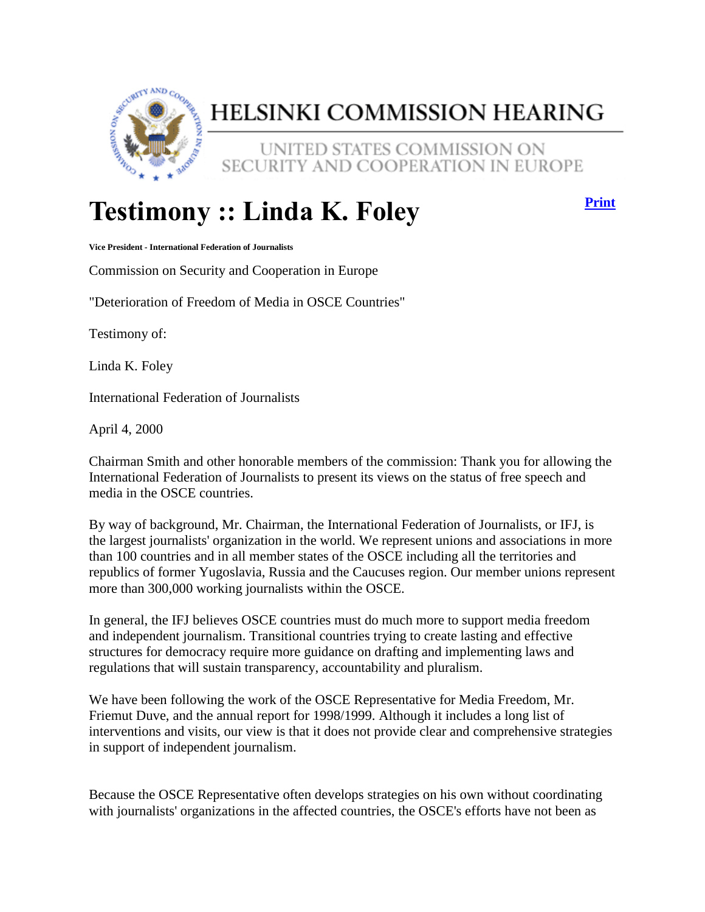

## HELSINKI COMMISSION HEARING

UNITED STATES COMMISSION ON SECURITY AND COOPERATION IN EUROPE

## **Testimony :: Linda K. Foley**

**[Print](http://www.csce.gov/index.cfm?FuseAction=ContentRecords.ViewWitness&ContentRecord_id=87&ContentType=D&ContentRecordType=D&ParentType=H&IsTextOnly=True)**

**Vice President - International Federation of Journalists**

Commission on Security and Cooperation in Europe

"Deterioration of Freedom of Media in OSCE Countries"

Testimony of:

Linda K. Foley

International Federation of Journalists

April 4, 2000

Chairman Smith and other honorable members of the commission: Thank you for allowing the International Federation of Journalists to present its views on the status of free speech and media in the OSCE countries.

By way of background, Mr. Chairman, the International Federation of Journalists, or IFJ, is the largest journalists' organization in the world. We represent unions and associations in more than 100 countries and in all member states of the OSCE including all the territories and republics of former Yugoslavia, Russia and the Caucuses region. Our member unions represent more than 300,000 working journalists within the OSCE.

In general, the IFJ believes OSCE countries must do much more to support media freedom and independent journalism. Transitional countries trying to create lasting and effective structures for democracy require more guidance on drafting and implementing laws and regulations that will sustain transparency, accountability and pluralism.

We have been following the work of the OSCE Representative for Media Freedom, Mr. Friemut Duve, and the annual report for 1998/1999. Although it includes a long list of interventions and visits, our view is that it does not provide clear and comprehensive strategies in support of independent journalism.

Because the OSCE Representative often develops strategies on his own without coordinating with journalists' organizations in the affected countries, the OSCE's efforts have not been as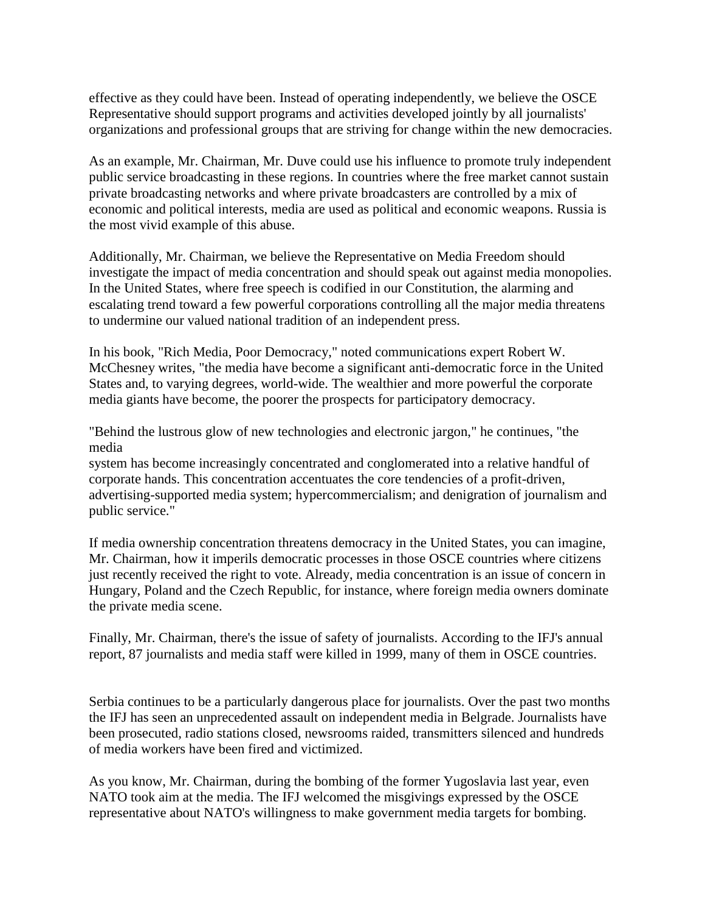effective as they could have been. Instead of operating independently, we believe the OSCE Representative should support programs and activities developed jointly by all journalists' organizations and professional groups that are striving for change within the new democracies.

As an example, Mr. Chairman, Mr. Duve could use his influence to promote truly independent public service broadcasting in these regions. In countries where the free market cannot sustain private broadcasting networks and where private broadcasters are controlled by a mix of economic and political interests, media are used as political and economic weapons. Russia is the most vivid example of this abuse.

Additionally, Mr. Chairman, we believe the Representative on Media Freedom should investigate the impact of media concentration and should speak out against media monopolies. In the United States, where free speech is codified in our Constitution, the alarming and escalating trend toward a few powerful corporations controlling all the major media threatens to undermine our valued national tradition of an independent press.

In his book, "Rich Media, Poor Democracy," noted communications expert Robert W. McChesney writes, "the media have become a significant anti-democratic force in the United States and, to varying degrees, world-wide. The wealthier and more powerful the corporate media giants have become, the poorer the prospects for participatory democracy.

"Behind the lustrous glow of new technologies and electronic jargon," he continues, "the media

system has become increasingly concentrated and conglomerated into a relative handful of corporate hands. This concentration accentuates the core tendencies of a profit-driven, advertising-supported media system; hypercommercialism; and denigration of journalism and public service."

If media ownership concentration threatens democracy in the United States, you can imagine, Mr. Chairman, how it imperils democratic processes in those OSCE countries where citizens just recently received the right to vote. Already, media concentration is an issue of concern in Hungary, Poland and the Czech Republic, for instance, where foreign media owners dominate the private media scene.

Finally, Mr. Chairman, there's the issue of safety of journalists. According to the IFJ's annual report, 87 journalists and media staff were killed in 1999, many of them in OSCE countries.

Serbia continues to be a particularly dangerous place for journalists. Over the past two months the IFJ has seen an unprecedented assault on independent media in Belgrade. Journalists have been prosecuted, radio stations closed, newsrooms raided, transmitters silenced and hundreds of media workers have been fired and victimized.

As you know, Mr. Chairman, during the bombing of the former Yugoslavia last year, even NATO took aim at the media. The IFJ welcomed the misgivings expressed by the OSCE representative about NATO's willingness to make government media targets for bombing.